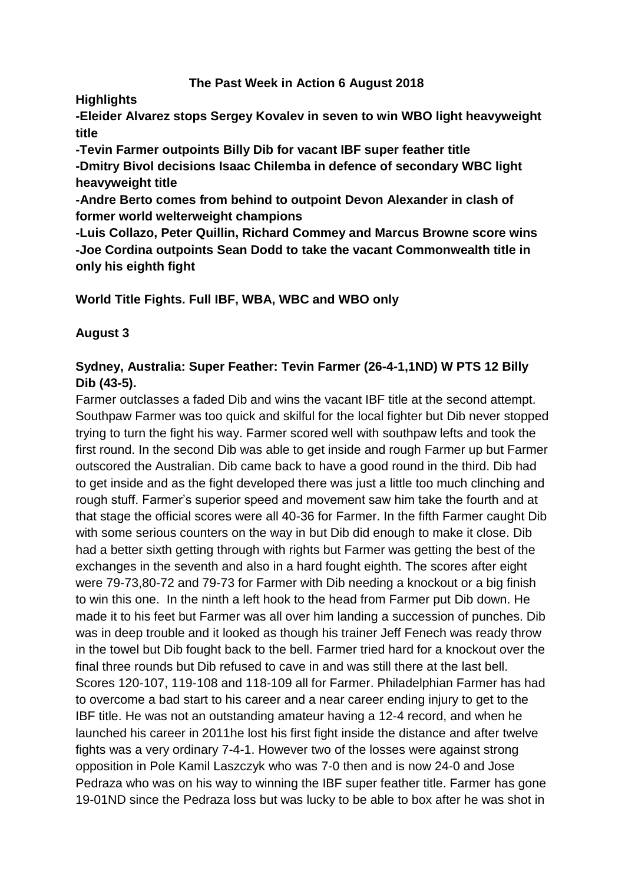#### **The Past Week in Action 6 August 2018**

**Highlights**

**-Eleider Alvarez stops Sergey Kovalev in seven to win WBO light heavyweight title**

**-Tevin Farmer outpoints Billy Dib for vacant IBF super feather title -Dmitry Bivol decisions Isaac Chilemba in defence of secondary WBC light heavyweight title**

**-Andre Berto comes from behind to outpoint Devon Alexander in clash of former world welterweight champions**

**-Luis Collazo, Peter Quillin, Richard Commey and Marcus Browne score wins -Joe Cordina outpoints Sean Dodd to take the vacant Commonwealth title in only his eighth fight**

**World Title Fights. Full IBF, WBA, WBC and WBO only**

## **August 3**

## **Sydney, Australia: Super Feather: Tevin Farmer (26-4-1,1ND) W PTS 12 Billy Dib (43-5).**

Farmer outclasses a faded Dib and wins the vacant IBF title at the second attempt. Southpaw Farmer was too quick and skilful for the local fighter but Dib never stopped trying to turn the fight his way. Farmer scored well with southpaw lefts and took the first round. In the second Dib was able to get inside and rough Farmer up but Farmer outscored the Australian. Dib came back to have a good round in the third. Dib had to get inside and as the fight developed there was just a little too much clinching and rough stuff. Farmer's superior speed and movement saw him take the fourth and at that stage the official scores were all 40-36 for Farmer. In the fifth Farmer caught Dib with some serious counters on the way in but Dib did enough to make it close. Dib had a better sixth getting through with rights but Farmer was getting the best of the exchanges in the seventh and also in a hard fought eighth. The scores after eight were 79-73,80-72 and 79-73 for Farmer with Dib needing a knockout or a big finish to win this one. In the ninth a left hook to the head from Farmer put Dib down. He made it to his feet but Farmer was all over him landing a succession of punches. Dib was in deep trouble and it looked as though his trainer Jeff Fenech was ready throw in the towel but Dib fought back to the bell. Farmer tried hard for a knockout over the final three rounds but Dib refused to cave in and was still there at the last bell. Scores 120-107, 119-108 and 118-109 all for Farmer. Philadelphian Farmer has had to overcome a bad start to his career and a near career ending injury to get to the IBF title. He was not an outstanding amateur having a 12-4 record, and when he launched his career in 2011he lost his first fight inside the distance and after twelve fights was a very ordinary 7-4-1. However two of the losses were against strong opposition in Pole Kamil Laszczyk who was 7-0 then and is now 24-0 and Jose Pedraza who was on his way to winning the IBF super feather title. Farmer has gone 19-01ND since the Pedraza loss but was lucky to be able to box after he was shot in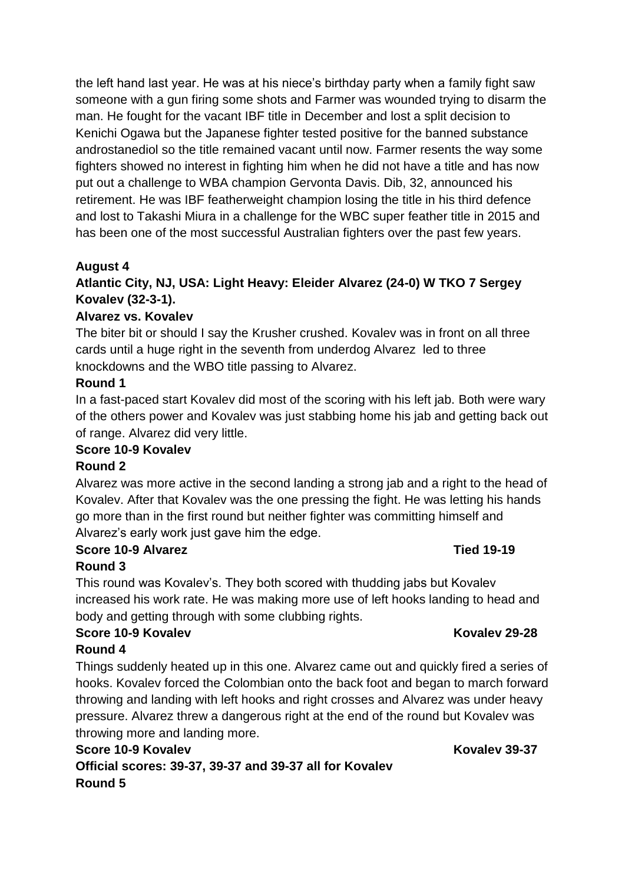the left hand last year. He was at his niece's birthday party when a family fight saw someone with a gun firing some shots and Farmer was wounded trying to disarm the man. He fought for the vacant IBF title in December and lost a split decision to Kenichi Ogawa but the Japanese fighter tested positive for the banned substance androstanediol so the title remained vacant until now. Farmer resents the way some fighters showed no interest in fighting him when he did not have a title and has now put out a challenge to WBA champion Gervonta Davis. Dib, 32, announced his retirement. He was IBF featherweight champion losing the title in his third defence and lost to Takashi Miura in a challenge for the WBC super feather title in 2015 and has been one of the most successful Australian fighters over the past few years.

## **August 4**

## **Atlantic City, NJ, USA: Light Heavy: Eleider Alvarez (24-0) W TKO 7 Sergey Kovalev (32-3-1).**

## **Alvarez vs. Kovalev**

The biter bit or should I say the Krusher crushed. Kovalev was in front on all three cards until a huge right in the seventh from underdog Alvarez led to three knockdowns and the WBO title passing to Alvarez.

#### **Round 1**

In a fast-paced start Kovalev did most of the scoring with his left jab. Both were wary of the others power and Kovalev was just stabbing home his jab and getting back out of range. Alvarez did very little.

#### **Score 10-9 Kovalev**

#### **Round 2**

Alvarez was more active in the second landing a strong jab and a right to the head of Kovalev. After that Kovalev was the one pressing the fight. He was letting his hands go more than in the first round but neither fighter was committing himself and Alvarez's early work just gave him the edge.

## **Score 10-9 Alvarez Tied 19-19**

## **Round 3**

This round was Kovalev's. They both scored with thudding jabs but Kovalev increased his work rate. He was making more use of left hooks landing to head and body and getting through with some clubbing rights.

## **Score 10-9 Kovalev Kovalev 29-28**

#### **Round 4**

Things suddenly heated up in this one. Alvarez came out and quickly fired a series of hooks. Kovalev forced the Colombian onto the back foot and began to march forward throwing and landing with left hooks and right crosses and Alvarez was under heavy pressure. Alvarez threw a dangerous right at the end of the round but Kovalev was throwing more and landing more.

## **Score 10-9 Kovalev Kovalev 39-37 Official scores: 39-37, 39-37 and 39-37 all for Kovalev Round 5**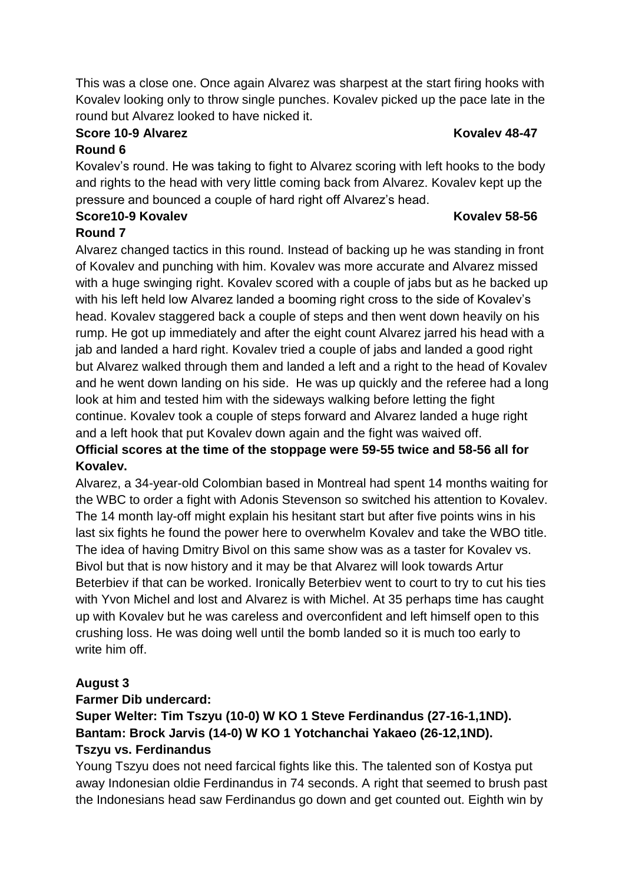This was a close one. Once again Alvarez was sharpest at the start firing hooks with Kovalev looking only to throw single punches. Kovalev picked up the pace late in the round but Alvarez looked to have nicked it.

#### **Score 10-9 Alvarez <b>Kovalev** 48-47 **Round 6**

Kovalev's round. He was taking to fight to Alvarez scoring with left hooks to the body and rights to the head with very little coming back from Alvarez. Kovalev kept up the pressure and bounced a couple of hard right off Alvarez's head.

# **Score10-9 Kovalev Kovalev 58-56**

## **Round 7**

Alvarez changed tactics in this round. Instead of backing up he was standing in front of Kovalev and punching with him. Kovalev was more accurate and Alvarez missed with a huge swinging right. Kovalev scored with a couple of jabs but as he backed up with his left held low Alvarez landed a booming right cross to the side of Kovalev's head. Kovalev staggered back a couple of steps and then went down heavily on his rump. He got up immediately and after the eight count Alvarez jarred his head with a jab and landed a hard right. Kovalev tried a couple of jabs and landed a good right but Alvarez walked through them and landed a left and a right to the head of Kovalev and he went down landing on his side. He was up quickly and the referee had a long look at him and tested him with the sideways walking before letting the fight continue. Kovalev took a couple of steps forward and Alvarez landed a huge right and a left hook that put Kovalev down again and the fight was waived off.

## **Official scores at the time of the stoppage were 59-55 twice and 58-56 all for Kovalev.**

Alvarez, a 34-year-old Colombian based in Montreal had spent 14 months waiting for the WBC to order a fight with Adonis Stevenson so switched his attention to Kovalev. The 14 month lay-off might explain his hesitant start but after five points wins in his last six fights he found the power here to overwhelm Kovalev and take the WBO title. The idea of having Dmitry Bivol on this same show was as a taster for Kovalev vs. Bivol but that is now history and it may be that Alvarez will look towards Artur Beterbiev if that can be worked. Ironically Beterbiev went to court to try to cut his ties with Yvon Michel and lost and Alvarez is with Michel. At 35 perhaps time has caught up with Kovalev but he was careless and overconfident and left himself open to this crushing loss. He was doing well until the bomb landed so it is much too early to write him off.

## **August 3**

#### **Farmer Dib undercard:**

## **Super Welter: Tim Tszyu (10-0) W KO 1 Steve Ferdinandus (27-16-1,1ND). Bantam: Brock Jarvis (14-0) W KO 1 Yotchanchai Yakaeo (26-12,1ND). Tszyu vs. Ferdinandus**

Young Tszyu does not need farcical fights like this. The talented son of Kostya put away Indonesian oldie Ferdinandus in 74 seconds. A right that seemed to brush past the Indonesians head saw Ferdinandus go down and get counted out. Eighth win by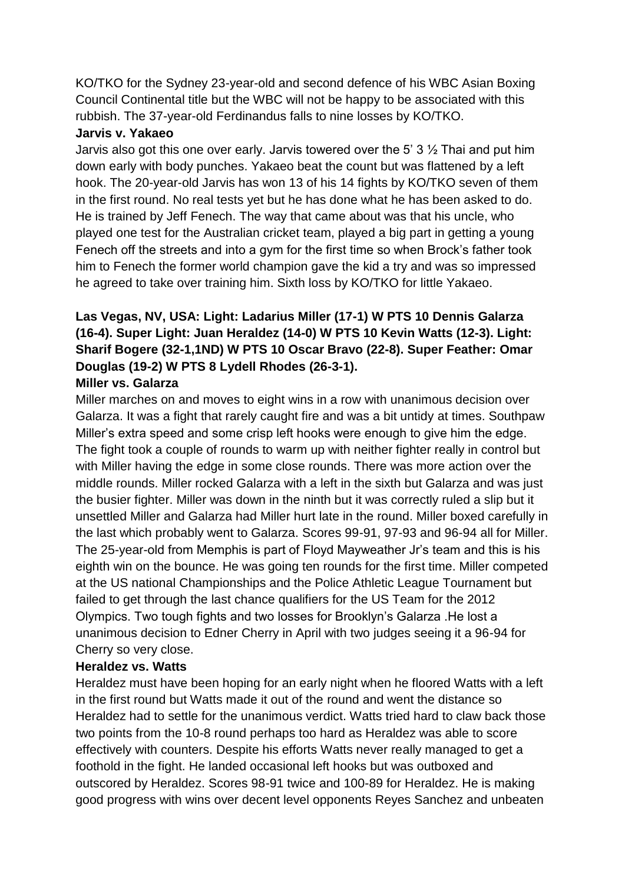KO/TKO for the Sydney 23-year-old and second defence of his WBC Asian Boxing Council Continental title but the WBC will not be happy to be associated with this rubbish. The 37-year-old Ferdinandus falls to nine losses by KO/TKO.

#### **Jarvis v. Yakaeo**

Jarvis also got this one over early. Jarvis towered over the 5'  $3\frac{1}{2}$  Thai and put him down early with body punches. Yakaeo beat the count but was flattened by a left hook. The 20-year-old Jarvis has won 13 of his 14 fights by KO/TKO seven of them in the first round. No real tests yet but he has done what he has been asked to do. He is trained by Jeff Fenech. The way that came about was that his uncle, who played one test for the Australian cricket team, played a big part in getting a young Fenech off the streets and into a gym for the first time so when Brock's father took him to Fenech the former world champion gave the kid a try and was so impressed he agreed to take over training him. Sixth loss by KO/TKO for little Yakaeo.

## **Las Vegas, NV, USA: Light: Ladarius Miller (17-1) W PTS 10 Dennis Galarza (16-4). Super Light: Juan Heraldez (14-0) W PTS 10 Kevin Watts (12-3). Light: Sharif Bogere (32-1,1ND) W PTS 10 Oscar Bravo (22-8). Super Feather: Omar Douglas (19-2) W PTS 8 Lydell Rhodes (26-3-1). Miller vs. Galarza**

## Miller marches on and moves to eight wins in a row with unanimous decision over Galarza. It was a fight that rarely caught fire and was a bit untidy at times. Southpaw Miller's extra speed and some crisp left hooks were enough to give him the edge. The fight took a couple of rounds to warm up with neither fighter really in control but with Miller having the edge in some close rounds. There was more action over the middle rounds. Miller rocked Galarza with a left in the sixth but Galarza and was just the busier fighter. Miller was down in the ninth but it was correctly ruled a slip but it unsettled Miller and Galarza had Miller hurt late in the round. Miller boxed carefully in the last which probably went to Galarza. Scores 99-91, 97-93 and 96-94 all for Miller. The 25-year-old from Memphis is part of Floyd Mayweather Jr's team and this is his eighth win on the bounce. He was going ten rounds for the first time. Miller competed at the US national Championships and the Police Athletic League Tournament but failed to get through the last chance qualifiers for the US Team for the 2012 Olympics. Two tough fights and two losses for Brooklyn's Galarza .He lost a unanimous decision to Edner Cherry in April with two judges seeing it a 96-94 for Cherry so very close.

#### **Heraldez vs. Watts**

Heraldez must have been hoping for an early night when he floored Watts with a left in the first round but Watts made it out of the round and went the distance so Heraldez had to settle for the unanimous verdict. Watts tried hard to claw back those two points from the 10-8 round perhaps too hard as Heraldez was able to score effectively with counters. Despite his efforts Watts never really managed to get a foothold in the fight. He landed occasional left hooks but was outboxed and outscored by Heraldez. Scores 98-91 twice and 100-89 for Heraldez. He is making good progress with wins over decent level opponents Reyes Sanchez and unbeaten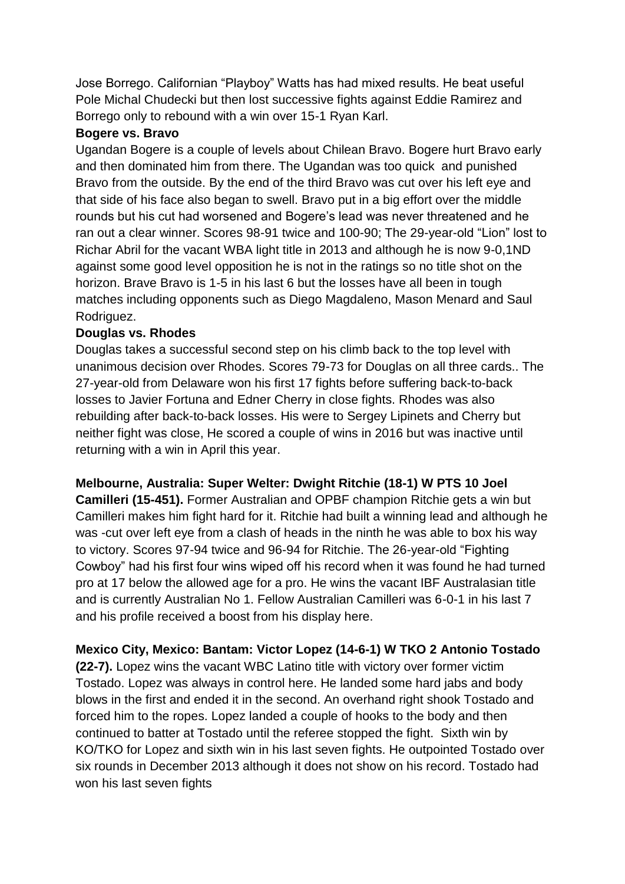Jose Borrego. Californian "Playboy" Watts has had mixed results. He beat useful Pole Michal Chudecki but then lost successive fights against Eddie Ramirez and Borrego only to rebound with a win over 15-1 Ryan Karl.

#### **Bogere vs. Bravo**

Ugandan Bogere is a couple of levels about Chilean Bravo. Bogere hurt Bravo early and then dominated him from there. The Ugandan was too quick and punished Bravo from the outside. By the end of the third Bravo was cut over his left eye and that side of his face also began to swell. Bravo put in a big effort over the middle rounds but his cut had worsened and Bogere's lead was never threatened and he ran out a clear winner. Scores 98-91 twice and 100-90; The 29-year-old "Lion" lost to Richar Abril for the vacant WBA light title in 2013 and although he is now 9-0,1ND against some good level opposition he is not in the ratings so no title shot on the horizon. Brave Bravo is 1-5 in his last 6 but the losses have all been in tough matches including opponents such as Diego Magdaleno, Mason Menard and Saul Rodriguez.

#### **Douglas vs. Rhodes**

Douglas takes a successful second step on his climb back to the top level with unanimous decision over Rhodes. Scores 79-73 for Douglas on all three cards.. The 27-year-old from Delaware won his first 17 fights before suffering back-to-back losses to Javier Fortuna and Edner Cherry in close fights. Rhodes was also rebuilding after back-to-back losses. His were to Sergey Lipinets and Cherry but neither fight was close, He scored a couple of wins in 2016 but was inactive until returning with a win in April this year.

**Melbourne, Australia: Super Welter: Dwight Ritchie (18-1) W PTS 10 Joel Camilleri (15-451).** Former Australian and OPBF champion Ritchie gets a win but Camilleri makes him fight hard for it. Ritchie had built a winning lead and although he was -cut over left eye from a clash of heads in the ninth he was able to box his way to victory. Scores 97-94 twice and 96-94 for Ritchie. The 26-year-old "Fighting Cowboy" had his first four wins wiped off his record when it was found he had turned pro at 17 below the allowed age for a pro. He wins the vacant IBF Australasian title and is currently Australian No 1. Fellow Australian Camilleri was 6-0-1 in his last 7 and his profile received a boost from his display here.

## **Mexico City, Mexico: Bantam: Victor Lopez (14-6-1) W TKO 2 Antonio Tostado**

**(22-7).** Lopez wins the vacant WBC Latino title with victory over former victim Tostado. Lopez was always in control here. He landed some hard jabs and body blows in the first and ended it in the second. An overhand right shook Tostado and forced him to the ropes. Lopez landed a couple of hooks to the body and then continued to batter at Tostado until the referee stopped the fight. Sixth win by KO/TKO for Lopez and sixth win in his last seven fights. He outpointed Tostado over six rounds in December 2013 although it does not show on his record. Tostado had won his last seven fights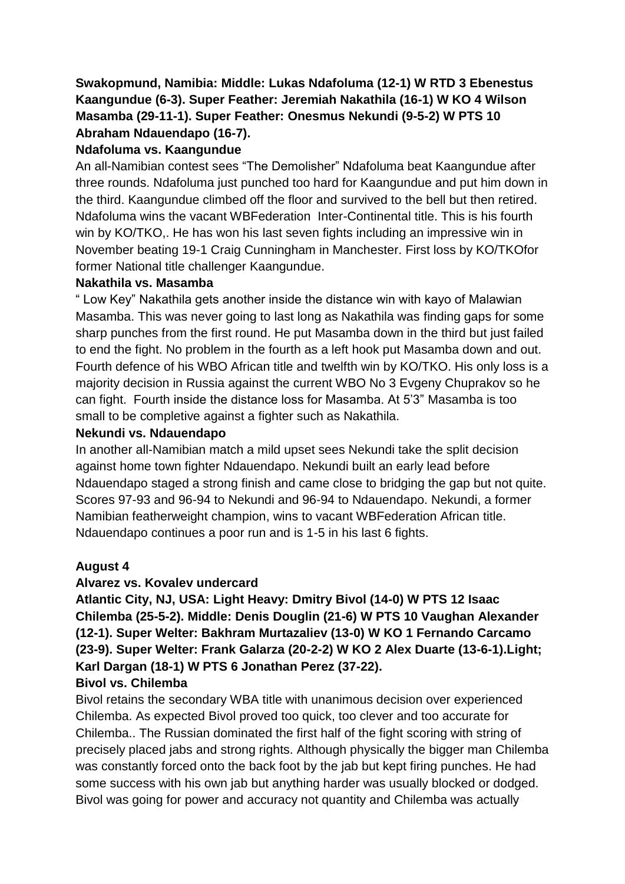## **Swakopmund, Namibia: Middle: Lukas Ndafoluma (12-1) W RTD 3 Ebenestus Kaangundue (6-3). Super Feather: Jeremiah Nakathila (16-1) W KO 4 Wilson Masamba (29-11-1). Super Feather: Onesmus Nekundi (9-5-2) W PTS 10 Abraham Ndauendapo (16-7).**

## **Ndafoluma vs. Kaangundue**

An all-Namibian contest sees "The Demolisher" Ndafoluma beat Kaangundue after three rounds. Ndafoluma just punched too hard for Kaangundue and put him down in the third. Kaangundue climbed off the floor and survived to the bell but then retired. Ndafoluma wins the vacant WBFederation Inter-Continental title. This is his fourth win by KO/TKO,. He has won his last seven fights including an impressive win in November beating 19-1 Craig Cunningham in Manchester. First loss by KO/TKOfor former National title challenger Kaangundue.

#### **Nakathila vs. Masamba**

" Low Key" Nakathila gets another inside the distance win with kayo of Malawian Masamba. This was never going to last long as Nakathila was finding gaps for some sharp punches from the first round. He put Masamba down in the third but just failed to end the fight. No problem in the fourth as a left hook put Masamba down and out. Fourth defence of his WBO African title and twelfth win by KO/TKO. His only loss is a majority decision in Russia against the current WBO No 3 Evgeny Chuprakov so he can fight. Fourth inside the distance loss for Masamba. At 5'3" Masamba is too small to be completive against a fighter such as Nakathila.

#### **Nekundi vs. Ndauendapo**

In another all-Namibian match a mild upset sees Nekundi take the split decision against home town fighter Ndauendapo. Nekundi built an early lead before Ndauendapo staged a strong finish and came close to bridging the gap but not quite. Scores 97-93 and 96-94 to Nekundi and 96-94 to Ndauendapo. Nekundi, a former Namibian featherweight champion, wins to vacant WBFederation African title. Ndauendapo continues a poor run and is 1-5 in his last 6 fights.

#### **August 4**

#### **Alvarez vs. Kovalev undercard**

**Atlantic City, NJ, USA: Light Heavy: Dmitry Bivol (14-0) W PTS 12 Isaac Chilemba (25-5-2). Middle: Denis Douglin (21-6) W PTS 10 Vaughan Alexander (12-1). Super Welter: Bakhram Murtazaliev (13-0) W KO 1 Fernando Carcamo (23-9). Super Welter: Frank Galarza (20-2-2) W KO 2 Alex Duarte (13-6-1).Light; Karl Dargan (18-1) W PTS 6 Jonathan Perez (37-22).**

#### **Bivol vs. Chilemba**

Bivol retains the secondary WBA title with unanimous decision over experienced Chilemba. As expected Bivol proved too quick, too clever and too accurate for Chilemba.. The Russian dominated the first half of the fight scoring with string of precisely placed jabs and strong rights. Although physically the bigger man Chilemba was constantly forced onto the back foot by the jab but kept firing punches. He had some success with his own jab but anything harder was usually blocked or dodged. Bivol was going for power and accuracy not quantity and Chilemba was actually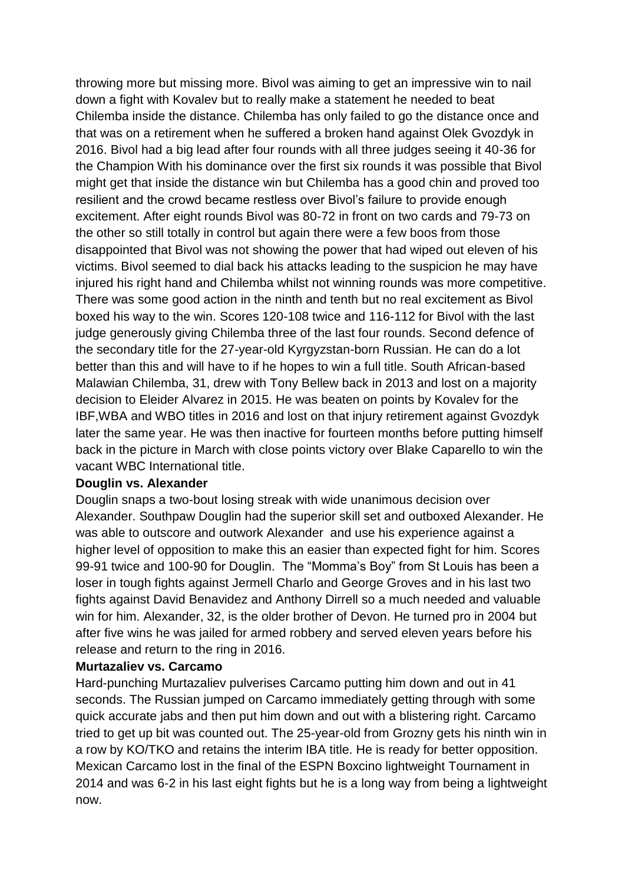throwing more but missing more. Bivol was aiming to get an impressive win to nail down a fight with Kovalev but to really make a statement he needed to beat Chilemba inside the distance. Chilemba has only failed to go the distance once and that was on a retirement when he suffered a broken hand against Olek Gvozdyk in 2016. Bivol had a big lead after four rounds with all three judges seeing it 40-36 for the Champion With his dominance over the first six rounds it was possible that Bivol might get that inside the distance win but Chilemba has a good chin and proved too resilient and the crowd became restless over Bivol's failure to provide enough excitement. After eight rounds Bivol was 80-72 in front on two cards and 79-73 on the other so still totally in control but again there were a few boos from those disappointed that Bivol was not showing the power that had wiped out eleven of his victims. Bivol seemed to dial back his attacks leading to the suspicion he may have injured his right hand and Chilemba whilst not winning rounds was more competitive. There was some good action in the ninth and tenth but no real excitement as Bivol boxed his way to the win. Scores 120-108 twice and 116-112 for Bivol with the last judge generously giving Chilemba three of the last four rounds. Second defence of the secondary title for the 27-year-old Kyrgyzstan-born Russian. He can do a lot better than this and will have to if he hopes to win a full title. South African-based Malawian Chilemba, 31, drew with Tony Bellew back in 2013 and lost on a majority decision to Eleider Alvarez in 2015. He was beaten on points by Kovalev for the IBF,WBA and WBO titles in 2016 and lost on that injury retirement against Gvozdyk later the same year. He was then inactive for fourteen months before putting himself back in the picture in March with close points victory over Blake Caparello to win the vacant WBC International title.

#### **Douglin vs. Alexander**

Douglin snaps a two-bout losing streak with wide unanimous decision over Alexander. Southpaw Douglin had the superior skill set and outboxed Alexander. He was able to outscore and outwork Alexander and use his experience against a higher level of opposition to make this an easier than expected fight for him. Scores 99-91 twice and 100-90 for Douglin. The "Momma's Boy" from St Louis has been a loser in tough fights against Jermell Charlo and George Groves and in his last two fights against David Benavidez and Anthony Dirrell so a much needed and valuable win for him. Alexander, 32, is the older brother of Devon. He turned pro in 2004 but after five wins he was jailed for armed robbery and served eleven years before his release and return to the ring in 2016.

#### **Murtazaliev vs. Carcamo**

Hard-punching Murtazaliev pulverises Carcamo putting him down and out in 41 seconds. The Russian jumped on Carcamo immediately getting through with some quick accurate jabs and then put him down and out with a blistering right. Carcamo tried to get up bit was counted out. The 25-year-old from Grozny gets his ninth win in a row by KO/TKO and retains the interim IBA title. He is ready for better opposition. Mexican Carcamo lost in the final of the ESPN Boxcino lightweight Tournament in 2014 and was 6-2 in his last eight fights but he is a long way from being a lightweight now.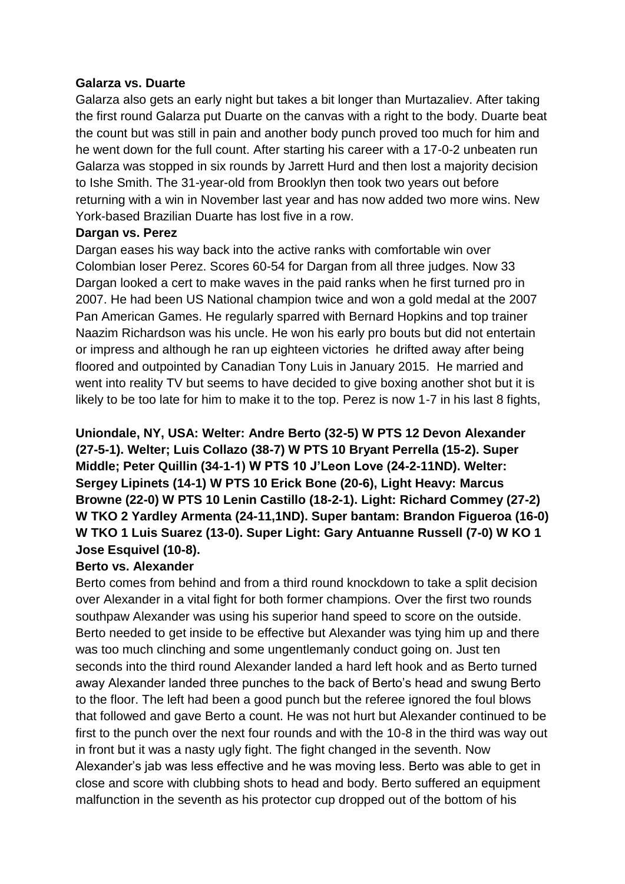#### **Galarza vs. Duarte**

Galarza also gets an early night but takes a bit longer than Murtazaliev. After taking the first round Galarza put Duarte on the canvas with a right to the body. Duarte beat the count but was still in pain and another body punch proved too much for him and he went down for the full count. After starting his career with a 17-0-2 unbeaten run Galarza was stopped in six rounds by Jarrett Hurd and then lost a majority decision to Ishe Smith. The 31-year-old from Brooklyn then took two years out before returning with a win in November last year and has now added two more wins. New York-based Brazilian Duarte has lost five in a row.

#### **Dargan vs. Perez**

Dargan eases his way back into the active ranks with comfortable win over Colombian loser Perez. Scores 60-54 for Dargan from all three judges. Now 33 Dargan looked a cert to make waves in the paid ranks when he first turned pro in 2007. He had been US National champion twice and won a gold medal at the 2007 Pan American Games. He regularly sparred with Bernard Hopkins and top trainer Naazim Richardson was his uncle. He won his early pro bouts but did not entertain or impress and although he ran up eighteen victories he drifted away after being floored and outpointed by Canadian Tony Luis in January 2015. He married and went into reality TV but seems to have decided to give boxing another shot but it is likely to be too late for him to make it to the top. Perez is now 1-7 in his last 8 fights,

## **Uniondale, NY, USA: Welter: Andre Berto (32-5) W PTS 12 Devon Alexander (27-5-1). Welter; Luis Collazo (38-7) W PTS 10 Bryant Perrella (15-2). Super Middle; Peter Quillin (34-1-1) W PTS 10 J'Leon Love (24-2-11ND). Welter: Sergey Lipinets (14-1) W PTS 10 Erick Bone (20-6), Light Heavy: Marcus Browne (22-0) W PTS 10 Lenin Castillo (18-2-1). Light: Richard Commey (27-2) W TKO 2 Yardley Armenta (24-11,1ND). Super bantam: Brandon Figueroa (16-0) W TKO 1 Luis Suarez (13-0). Super Light: Gary Antuanne Russell (7-0) W KO 1 Jose Esquivel (10-8).**

#### **Berto vs. Alexander**

Berto comes from behind and from a third round knockdown to take a split decision over Alexander in a vital fight for both former champions. Over the first two rounds southpaw Alexander was using his superior hand speed to score on the outside. Berto needed to get inside to be effective but Alexander was tying him up and there was too much clinching and some ungentlemanly conduct going on. Just ten seconds into the third round Alexander landed a hard left hook and as Berto turned away Alexander landed three punches to the back of Berto's head and swung Berto to the floor. The left had been a good punch but the referee ignored the foul blows that followed and gave Berto a count. He was not hurt but Alexander continued to be first to the punch over the next four rounds and with the 10-8 in the third was way out in front but it was a nasty ugly fight. The fight changed in the seventh. Now Alexander's jab was less effective and he was moving less. Berto was able to get in close and score with clubbing shots to head and body. Berto suffered an equipment malfunction in the seventh as his protector cup dropped out of the bottom of his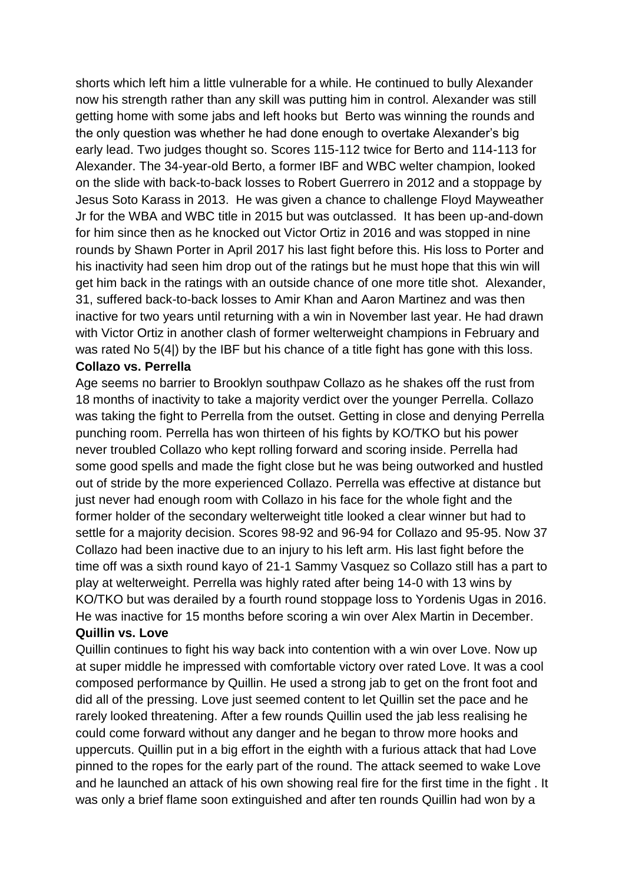shorts which left him a little vulnerable for a while. He continued to bully Alexander now his strength rather than any skill was putting him in control. Alexander was still getting home with some jabs and left hooks but Berto was winning the rounds and the only question was whether he had done enough to overtake Alexander's big early lead. Two judges thought so. Scores 115-112 twice for Berto and 114-113 for Alexander. The 34-year-old Berto, a former IBF and WBC welter champion, looked on the slide with back-to-back losses to Robert Guerrero in 2012 and a stoppage by Jesus Soto Karass in 2013. He was given a chance to challenge Floyd Mayweather Jr for the WBA and WBC title in 2015 but was outclassed. It has been up-and-down for him since then as he knocked out Victor Ortiz in 2016 and was stopped in nine rounds by Shawn Porter in April 2017 his last fight before this. His loss to Porter and his inactivity had seen him drop out of the ratings but he must hope that this win will get him back in the ratings with an outside chance of one more title shot. Alexander, 31, suffered back-to-back losses to Amir Khan and Aaron Martinez and was then inactive for two years until returning with a win in November last year. He had drawn with Victor Ortiz in another clash of former welterweight champions in February and was rated No 5(4|) by the IBF but his chance of a title fight has gone with this loss. **Collazo vs. Perrella** 

Age seems no barrier to Brooklyn southpaw Collazo as he shakes off the rust from 18 months of inactivity to take a majority verdict over the younger Perrella. Collazo was taking the fight to Perrella from the outset. Getting in close and denying Perrella punching room. Perrella has won thirteen of his fights by KO/TKO but his power never troubled Collazo who kept rolling forward and scoring inside. Perrella had some good spells and made the fight close but he was being outworked and hustled out of stride by the more experienced Collazo. Perrella was effective at distance but just never had enough room with Collazo in his face for the whole fight and the former holder of the secondary welterweight title looked a clear winner but had to settle for a majority decision. Scores 98-92 and 96-94 for Collazo and 95-95. Now 37 Collazo had been inactive due to an injury to his left arm. His last fight before the time off was a sixth round kayo of 21-1 Sammy Vasquez so Collazo still has a part to play at welterweight. Perrella was highly rated after being 14-0 with 13 wins by KO/TKO but was derailed by a fourth round stoppage loss to Yordenis Ugas in 2016. He was inactive for 15 months before scoring a win over Alex Martin in December. **Quillin vs. Love**

Quillin continues to fight his way back into contention with a win over Love. Now up at super middle he impressed with comfortable victory over rated Love. It was a cool composed performance by Quillin. He used a strong jab to get on the front foot and did all of the pressing. Love just seemed content to let Quillin set the pace and he rarely looked threatening. After a few rounds Quillin used the jab less realising he could come forward without any danger and he began to throw more hooks and uppercuts. Quillin put in a big effort in the eighth with a furious attack that had Love pinned to the ropes for the early part of the round. The attack seemed to wake Love and he launched an attack of his own showing real fire for the first time in the fight . It was only a brief flame soon extinguished and after ten rounds Quillin had won by a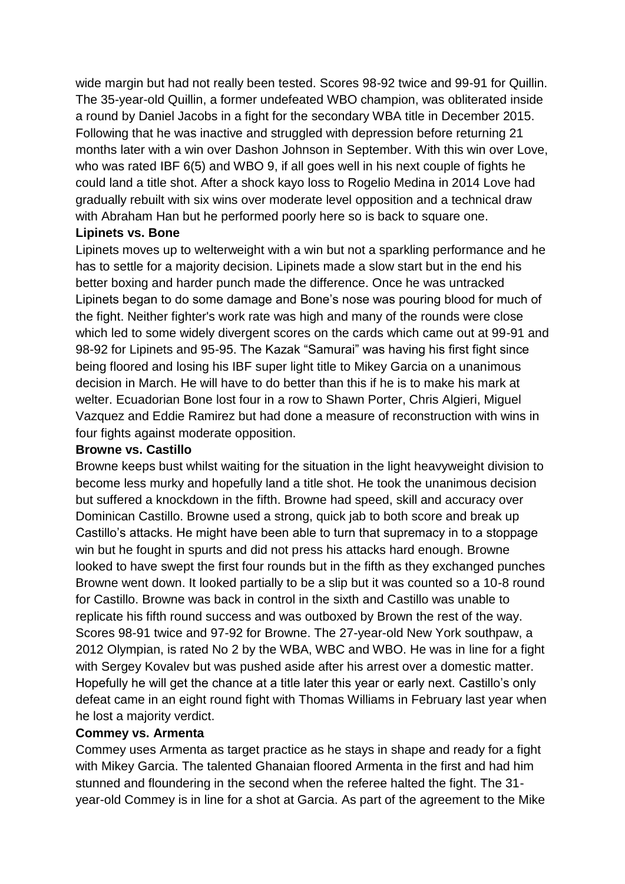wide margin but had not really been tested. Scores 98-92 twice and 99-91 for Quillin. The 35-year-old Quillin, a former undefeated WBO champion, was obliterated inside a round by Daniel Jacobs in a fight for the secondary WBA title in December 2015. Following that he was inactive and struggled with depression before returning 21 months later with a win over Dashon Johnson in September. With this win over Love, who was rated IBF 6(5) and WBO 9, if all goes well in his next couple of fights he could land a title shot. After a shock kayo loss to Rogelio Medina in 2014 Love had gradually rebuilt with six wins over moderate level opposition and a technical draw with Abraham Han but he performed poorly here so is back to square one.

#### **Lipinets vs. Bone**

Lipinets moves up to welterweight with a win but not a sparkling performance and he has to settle for a majority decision. Lipinets made a slow start but in the end his better boxing and harder punch made the difference. Once he was untracked Lipinets began to do some damage and Bone's nose was pouring blood for much of the fight. Neither fighter's work rate was high and many of the rounds were close which led to some widely divergent scores on the cards which came out at 99-91 and 98-92 for Lipinets and 95-95. The Kazak "Samurai" was having his first fight since being floored and losing his IBF super light title to Mikey Garcia on a unanimous decision in March. He will have to do better than this if he is to make his mark at welter. Ecuadorian Bone lost four in a row to Shawn Porter. Chris Algieri, Miguel Vazquez and Eddie Ramirez but had done a measure of reconstruction with wins in four fights against moderate opposition.

#### **Browne vs. Castillo**

Browne keeps bust whilst waiting for the situation in the light heavyweight division to become less murky and hopefully land a title shot. He took the unanimous decision but suffered a knockdown in the fifth. Browne had speed, skill and accuracy over Dominican Castillo. Browne used a strong, quick jab to both score and break up Castillo's attacks. He might have been able to turn that supremacy in to a stoppage win but he fought in spurts and did not press his attacks hard enough. Browne looked to have swept the first four rounds but in the fifth as they exchanged punches Browne went down. It looked partially to be a slip but it was counted so a 10-8 round for Castillo. Browne was back in control in the sixth and Castillo was unable to replicate his fifth round success and was outboxed by Brown the rest of the way. Scores 98-91 twice and 97-92 for Browne. The 27-year-old New York southpaw, a 2012 Olympian, is rated No 2 by the WBA, WBC and WBO. He was in line for a fight with Sergey Kovalev but was pushed aside after his arrest over a domestic matter. Hopefully he will get the chance at a title later this year or early next. Castillo's only defeat came in an eight round fight with Thomas Williams in February last year when he lost a majority verdict.

#### **Commey vs. Armenta**

Commey uses Armenta as target practice as he stays in shape and ready for a fight with Mikey Garcia. The talented Ghanaian floored Armenta in the first and had him stunned and floundering in the second when the referee halted the fight. The 31 year-old Commey is in line for a shot at Garcia. As part of the agreement to the Mike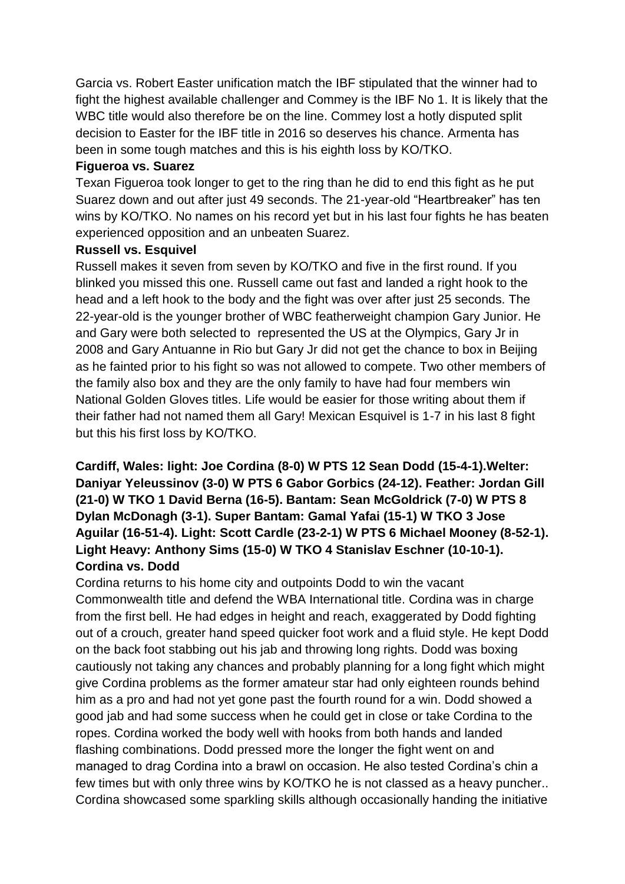Garcia vs. Robert Easter unification match the IBF stipulated that the winner had to fight the highest available challenger and Commey is the IBF No 1. It is likely that the WBC title would also therefore be on the line. Commey lost a hotly disputed split decision to Easter for the IBF title in 2016 so deserves his chance. Armenta has been in some tough matches and this is his eighth loss by KO/TKO.

#### **Figueroa vs. Suarez**

Texan Figueroa took longer to get to the ring than he did to end this fight as he put Suarez down and out after just 49 seconds. The 21-year-old "Heartbreaker" has ten wins by KO/TKO. No names on his record yet but in his last four fights he has beaten experienced opposition and an unbeaten Suarez.

#### **Russell vs. Esquivel**

Russell makes it seven from seven by KO/TKO and five in the first round. If you blinked you missed this one. Russell came out fast and landed a right hook to the head and a left hook to the body and the fight was over after just 25 seconds. The 22-year-old is the younger brother of WBC featherweight champion Gary Junior. He and Gary were both selected to represented the US at the Olympics, Gary Jr in 2008 and Gary Antuanne in Rio but Gary Jr did not get the chance to box in Beijing as he fainted prior to his fight so was not allowed to compete. Two other members of the family also box and they are the only family to have had four members win National Golden Gloves titles. Life would be easier for those writing about them if their father had not named them all Gary! Mexican Esquivel is 1-7 in his last 8 fight but this his first loss by KO/TKO.

## **Cardiff, Wales: light: Joe Cordina (8-0) W PTS 12 Sean Dodd (15-4-1).Welter: Daniyar Yeleussinov (3-0) W PTS 6 Gabor Gorbics (24-12). Feather: Jordan Gill (21-0) W TKO 1 David Berna (16-5). Bantam: Sean McGoldrick (7-0) W PTS 8 Dylan McDonagh (3-1). Super Bantam: Gamal Yafai (15-1) W TKO 3 Jose Aguilar (16-51-4). Light: Scott Cardle (23-2-1) W PTS 6 Michael Mooney (8-52-1). Light Heavy: Anthony Sims (15-0) W TKO 4 Stanislav Eschner (10-10-1). Cordina vs. Dodd**

Cordina returns to his home city and outpoints Dodd to win the vacant Commonwealth title and defend the WBA International title. Cordina was in charge from the first bell. He had edges in height and reach, exaggerated by Dodd fighting out of a crouch, greater hand speed quicker foot work and a fluid style. He kept Dodd on the back foot stabbing out his jab and throwing long rights. Dodd was boxing cautiously not taking any chances and probably planning for a long fight which might give Cordina problems as the former amateur star had only eighteen rounds behind him as a pro and had not yet gone past the fourth round for a win. Dodd showed a good jab and had some success when he could get in close or take Cordina to the ropes. Cordina worked the body well with hooks from both hands and landed flashing combinations. Dodd pressed more the longer the fight went on and managed to drag Cordina into a brawl on occasion. He also tested Cordina's chin a few times but with only three wins by KO/TKO he is not classed as a heavy puncher.. Cordina showcased some sparkling skills although occasionally handing the initiative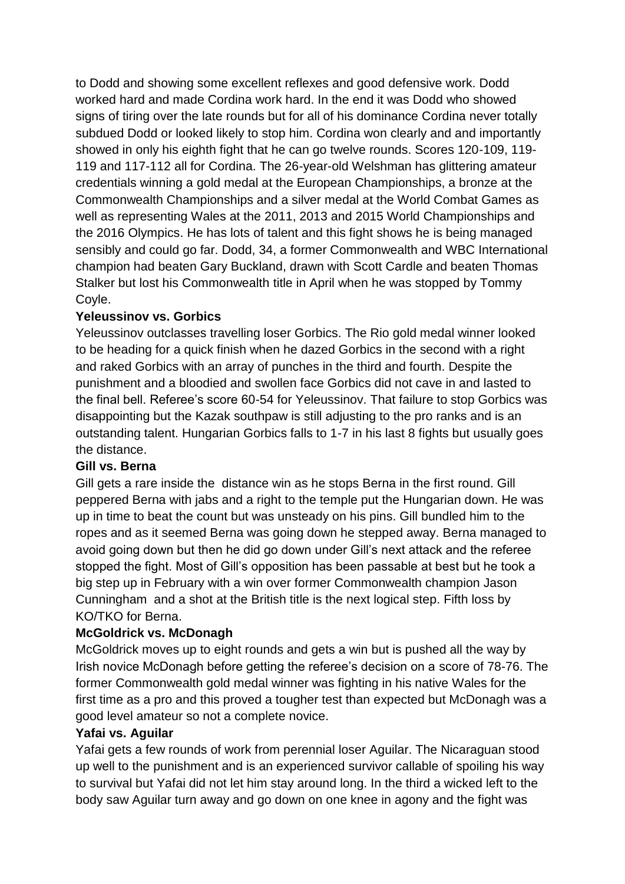to Dodd and showing some excellent reflexes and good defensive work. Dodd worked hard and made Cordina work hard. In the end it was Dodd who showed signs of tiring over the late rounds but for all of his dominance Cordina never totally subdued Dodd or looked likely to stop him. Cordina won clearly and and importantly showed in only his eighth fight that he can go twelve rounds. Scores 120-109, 119- 119 and 117-112 all for Cordina. The 26-year-old Welshman has glittering amateur credentials winning a gold medal at the European Championships, a bronze at the Commonwealth Championships and a silver medal at the World Combat Games as well as representing Wales at the 2011, 2013 and 2015 World Championships and the 2016 Olympics. He has lots of talent and this fight shows he is being managed sensibly and could go far. Dodd, 34, a former Commonwealth and WBC International champion had beaten Gary Buckland, drawn with Scott Cardle and beaten Thomas Stalker but lost his Commonwealth title in April when he was stopped by Tommy Coyle.

#### **Yeleussinov vs. Gorbics**

Yeleussinov outclasses travelling loser Gorbics. The Rio gold medal winner looked to be heading for a quick finish when he dazed Gorbics in the second with a right and raked Gorbics with an array of punches in the third and fourth. Despite the punishment and a bloodied and swollen face Gorbics did not cave in and lasted to the final bell. Referee's score 60-54 for Yeleussinov. That failure to stop Gorbics was disappointing but the Kazak southpaw is still adjusting to the pro ranks and is an outstanding talent. Hungarian Gorbics falls to 1-7 in his last 8 fights but usually goes the distance.

#### **Gill vs. Berna**

Gill gets a rare inside the distance win as he stops Berna in the first round. Gill peppered Berna with jabs and a right to the temple put the Hungarian down. He was up in time to beat the count but was unsteady on his pins. Gill bundled him to the ropes and as it seemed Berna was going down he stepped away. Berna managed to avoid going down but then he did go down under Gill's next attack and the referee stopped the fight. Most of Gill's opposition has been passable at best but he took a big step up in February with a win over former Commonwealth champion Jason Cunningham and a shot at the British title is the next logical step. Fifth loss by KO/TKO for Berna.

#### **McGoldrick vs. McDonagh**

McGoldrick moves up to eight rounds and gets a win but is pushed all the way by Irish novice McDonagh before getting the referee's decision on a score of 78-76. The former Commonwealth gold medal winner was fighting in his native Wales for the first time as a pro and this proved a tougher test than expected but McDonagh was a good level amateur so not a complete novice.

#### **Yafai vs. Aguilar**

Yafai gets a few rounds of work from perennial loser Aguilar. The Nicaraguan stood up well to the punishment and is an experienced survivor callable of spoiling his way to survival but Yafai did not let him stay around long. In the third a wicked left to the body saw Aguilar turn away and go down on one knee in agony and the fight was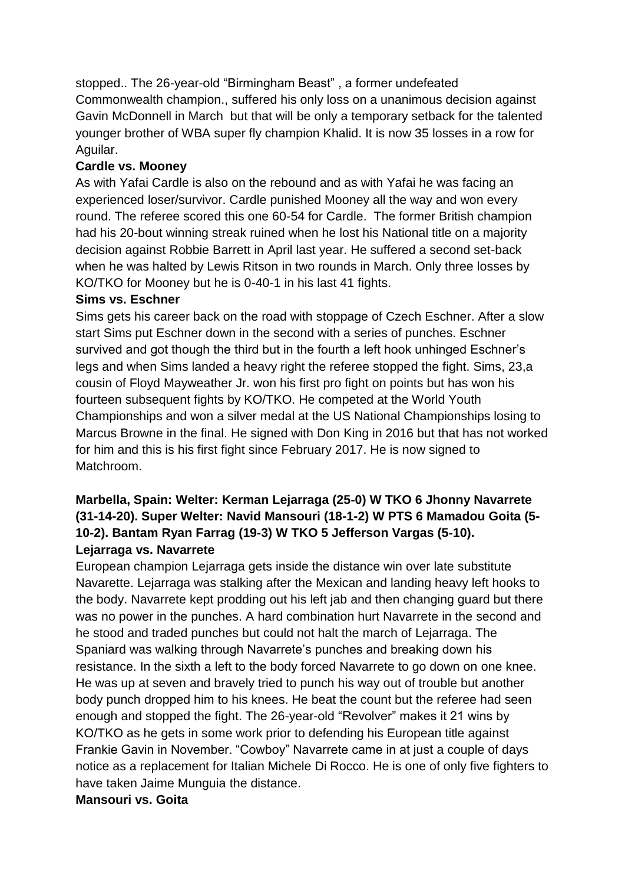stopped.. The 26-year-old "Birmingham Beast" , a former undefeated Commonwealth champion., suffered his only loss on a unanimous decision against Gavin McDonnell in March but that will be only a temporary setback for the talented younger brother of WBA super fly champion Khalid. It is now 35 losses in a row for Aguilar.

#### **Cardle vs. Mooney**

As with Yafai Cardle is also on the rebound and as with Yafai he was facing an experienced loser/survivor. Cardle punished Mooney all the way and won every round. The referee scored this one 60-54 for Cardle. The former British champion had his 20-bout winning streak ruined when he lost his National title on a majority decision against Robbie Barrett in April last year. He suffered a second set-back when he was halted by Lewis Ritson in two rounds in March. Only three losses by KO/TKO for Mooney but he is 0-40-1 in his last 41 fights.

#### **Sims vs. Eschner**

Sims gets his career back on the road with stoppage of Czech Eschner. After a slow start Sims put Eschner down in the second with a series of punches. Eschner survived and got though the third but in the fourth a left hook unhinged Eschner's legs and when Sims landed a heavy right the referee stopped the fight. Sims, 23,a cousin of Floyd Mayweather Jr. won his first pro fight on points but has won his fourteen subsequent fights by KO/TKO. He competed at the World Youth Championships and won a silver medal at the US National Championships losing to Marcus Browne in the final. He signed with Don King in 2016 but that has not worked for him and this is his first fight since February 2017. He is now signed to Matchroom.

## **Marbella, Spain: Welter: Kerman Lejarraga (25-0) W TKO 6 Jhonny Navarrete (31-14-20). Super Welter: Navid Mansouri (18-1-2) W PTS 6 Mamadou Goita (5- 10-2). Bantam Ryan Farrag (19-3) W TKO 5 Jefferson Vargas (5-10). Lejarraga vs. Navarrete**

European champion Lejarraga gets inside the distance win over late substitute Navarette. Lejarraga was stalking after the Mexican and landing heavy left hooks to the body. Navarrete kept prodding out his left jab and then changing guard but there was no power in the punches. A hard combination hurt Navarrete in the second and he stood and traded punches but could not halt the march of Lejarraga. The Spaniard was walking through Navarrete's punches and breaking down his resistance. In the sixth a left to the body forced Navarrete to go down on one knee. He was up at seven and bravely tried to punch his way out of trouble but another body punch dropped him to his knees. He beat the count but the referee had seen enough and stopped the fight. The 26-year-old "Revolver" makes it 21 wins by KO/TKO as he gets in some work prior to defending his European title against Frankie Gavin in November. "Cowboy" Navarrete came in at just a couple of days notice as a replacement for Italian Michele Di Rocco. He is one of only five fighters to have taken Jaime Munguia the distance.

#### **Mansouri vs. Goita**